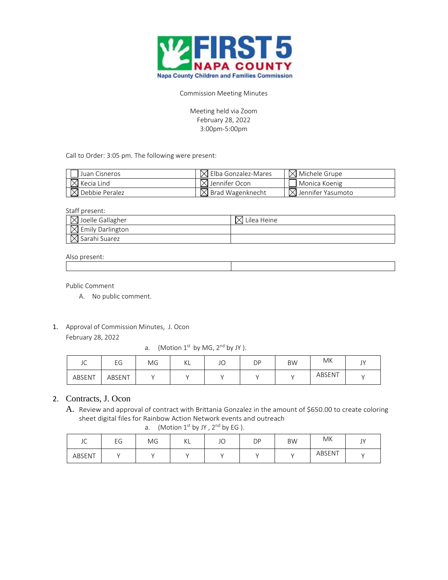

Commission Meeting Minutes

Meeting held via Zoom February 28, 2022 3:00pm-5:00pm

Call to Order: 3:05 pm. The following were present:

| Juan Cisneros              | $\boxtimes$ Elba Gonzalez-Mares | $\boxtimes$ Michele Grupe     |
|----------------------------|---------------------------------|-------------------------------|
| $\boxtimes$ Kecia Lind     | $\boxtimes$ Jennifer Ocon       | Monica Koenig                 |
| $\boxtimes$ Debbie Peralez | $\boxtimes$ Brad Wagenknecht    | $\boxtimes$ Jennifer Yasumoto |

Staff present:

| $\boxtimes$ Joelle Gallagher | Lilea Heine |
|------------------------------|-------------|
| $\boxtimes$ Emily Darlington |             |
| $\boxtimes$ Sarahi Suarez    |             |

## Also present:

Public Comment

- A. No public comment.
- 1. Approval of Commission Minutes, J. Ocon February 28, 2022

a. (Motion  $1^{st}$  by MG,  $2^{nd}$  by JY).

| $\sim$<br>JŲ | $\sim$<br>EЧ | MG | $\mathcal{U}$<br>NL. | JO | DΡ | <b>BW</b> | MK     | $\sim$<br>J, |
|--------------|--------------|----|----------------------|----|----|-----------|--------|--------------|
| ABSENT       | ABSENT       |    |                      |    |    |           | ABSENT |              |

## 2. Contracts, J. Ocon

A. Review and approval of contract with Brittania Gonzalez in the amount of \$650.00 to create coloring sheet digital files for Rainbow Action Network events and outreach

a. (Motion  $1^{st}$  by JY,  $2^{nd}$  by EG).

| $\sim$<br>JU | EG | MG | V1<br>NL. | $\sqrt{2}$<br>JU | DP | <b>BW</b> | МK     | $\mathbf{I}$<br>$\cdot$ |
|--------------|----|----|-----------|------------------|----|-----------|--------|-------------------------|
| ABSENT       |    |    |           |                  |    |           | ABSENT |                         |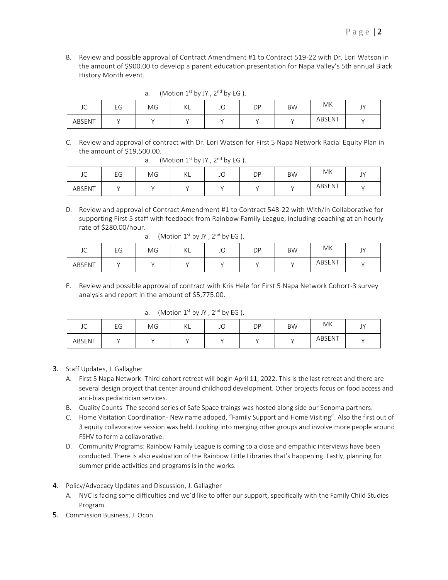B. Review and possible approval of Contract Amendment #1 to Contract 519-22 with Dr. Lori Watson in the amount of \$900.00 to develop a parent education presentation for Napa Valley's 5th annual Black History Month event.

| $\sim$<br>JU | EG | MG | $\frac{1}{2}$<br>NL. | JU | DP | <b>BW</b> | MK     | $\sim$<br>◡ |
|--------------|----|----|----------------------|----|----|-----------|--------|-------------|
| ABSENT       |    |    |                      |    |    |           | ABSENT |             |

- a. (Motion  $1^{st}$  by JY,  $2^{nd}$  by EG).
- C. Review and approval of contract with Dr. Lori Watson for First 5 Napa Network Racial Equity Plan in the amount of \$19,500.00.

| $\sim$<br>JU | EG | MG | $\mathcal{U}$<br>NL. | JO | DΡ | <b>BW</b> | MK     | $\mathbf{A}$<br>◡ |
|--------------|----|----|----------------------|----|----|-----------|--------|-------------------|
| ABSENT       |    |    |                      |    |    |           | ABSENT |                   |

a. (Motion  $1^{st}$  by JY,  $2^{nd}$  by EG).

D. Review and approval of Contract Amendment #1 to Contract 548-22 with With/In Collaborative for supporting First 5 staff with feedback from Rainbow Family League, including coaching at an hourly rate of \$280.00/hour.

| $\sim$<br>JU | EG | MG | ΚL | JO | <b>DP</b> | <b>BW</b> | МK     | $\overline{1}$<br>◡ |
|--------------|----|----|----|----|-----------|-----------|--------|---------------------|
| ABSENT       |    |    |    |    |           |           | ABSENT |                     |

a. (Motion  $1^{st}$  by JY,  $2^{nd}$  by EG).

E. Review and possible approval of contract with Kris Hele for First 5 Napa Network Cohort-3 survey analysis and report in the amount of \$5,775.00.

a. (Motion  $1<sup>st</sup>$  by JY,  $2<sup>nd</sup>$  by EG).

| $\sim$<br>JU | EG | ΜG | $\mathcal{U}$<br>NL. | $\sqrt{2}$<br>نار | DP | <b>BW</b> | ΜK     | $\overline{1}$<br>ا ب |
|--------------|----|----|----------------------|-------------------|----|-----------|--------|-----------------------|
| ABSENT       |    |    |                      |                   |    |           | ABSENT |                       |

- 3. Staff Updates, J. Gallagher
	- A. First 5 Napa Network: Third cohort retreat will begin April 11, 2022. This is the last retreat and there are several design project that center around childhood development. Other projects focus on food access and anti-bias pediatrician services.
	- B. Quality Counts- The second series of Safe Space traings was hosted along side our Sonoma partners.
	- C. Home Visitation Coordination- New name adoped, "Family Support and Home Visiting". Also the first out of 3 equity collavorative session was held. Looking into merging other groups and involve more people around FSHV to form a collavorative.
	- D. Community Programs: Rainbow Family League is coming to a close and empathic interviews have been conducted. There is also evaluation of the Rainbow Little Libraries that's happening. Lastly, planning for summer pride activities and programs is in the works.
- 4. Policy/Advocacy Updates and Discussion, J. Gallagher
	- A. NVC is facing some difficulties and we'd like to offer our support, specifically with the Family Child Studies Program.
- 5. Commission Business, J. Ocon